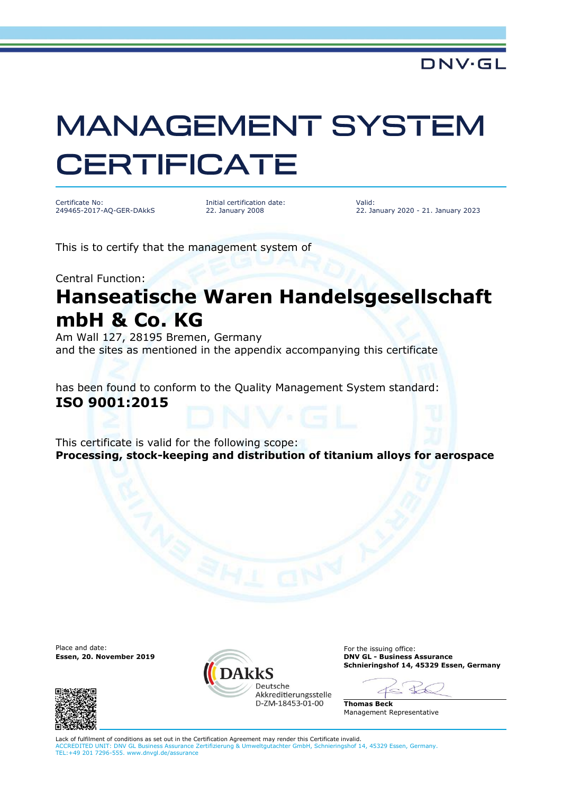## **MANAGEMENT SYSTEM CERTIFICATE**

Certificate No: 249465-2017-AQ-GER-DAkkS Initial certification date: 22. January 2008

Valid: 22. January 2020 - 21. January 2023

This is to certify that the management system of

Central Function:

## **Hanseatische Waren Handelsgesellschaft mbH & Co. KG**

Am Wall 127, 28195 Bremen, Germany and the sites as mentioned in the appendix accompanying this certificate

has been found to conform to the Quality Management System standard: **ISO 9001:2015**

This certificate is valid for the following scope: **Processing, stock-keeping and distribution of titanium alloys for aerospace**

**Essen, 20. November 2019** 





Place and date:<br> **Essen, 20. November 2019**<br> **Essen, 20. November 2019 Schnieringshof 14, 45329 Essen, Germany**

 $\triangleleft$ 

**Thomas Beck** Management Representative

Lack of fulfilment of conditions as set out in the Certification Agreement may render this Certificate invalid. ACCREDITED UNIT: DNV GL Business Assurance Zertifizierung & Umweltgutachter GmbH, Schnieringshof 14, 45329 Essen, Germany. TEL:+49 201 7296-555. www.dnvgl.de/assurance